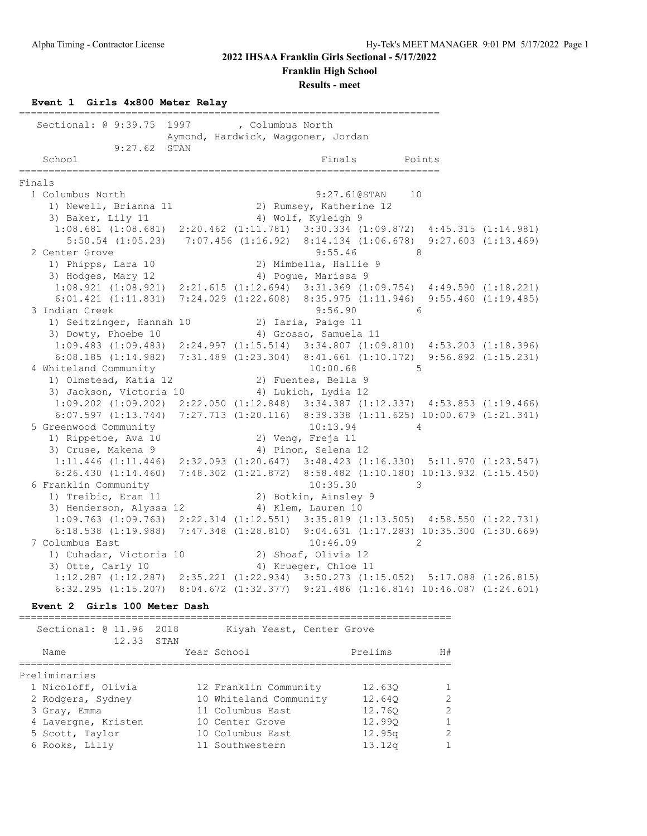**Franklin High School**

**Results - meet**

#### **Event 1 Girls 4x800 Meter Relay**

======================================================================= Sectional: @ 9:39.75 1997 , Columbus North Aymond, Hardwick, Waggoner, Jordan 9:27.62 STAN School **Finals** Points Points Points Points Points Points Points Points Points Points Points Points Points Points Points Points Points Points Points Points Points Points Points Points Points Points Points Points Points Poi ======================================================================= Finals 1 Columbus North 9:27.61@STAN 10 1) Newell, Brianna 11 2) Rumsey, Katherine 12 3) Baker, Lily 11 4) Wolf, Kyleigh 9 1:08.681 (1:08.681) 2:20.462 (1:11.781) 3:30.334 (1:09.872) 4:45.315 (1:14.981) 5:50.54 (1:05.23) 7:07.456 (1:16.92) 8:14.134 (1:06.678) 9:27.603 (1:13.469) 2 Center Grove 8:55.46 8 1) Phipps, Lara 10 2) Mimbella, Hallie 9 3) Hodges, Mary 12 (4) Pogue, Marissa 9 1:08.921 (1:08.921) 2:21.615 (1:12.694) 3:31.369 (1:09.754) 4:49.590 (1:18.221) 6:01.421 (1:11.831) 7:24.029 (1:22.608) 8:35.975 (1:11.946) 9:55.460 (1:19.485) 3 Indian Creek 9:56.90 6 1) Seitzinger, Hannah 10  $\hspace{1.6cm}$  2) Iaria, Paige 11 3) Dowty, Phoebe 10 4) Grosso, Samuela 11 1:09.483 (1:09.483) 2:24.997 (1:15.514) 3:34.807 (1:09.810) 4:53.203 (1:18.396) 6:08.185 (1:14.982) 7:31.489 (1:23.304) 8:41.661 (1:10.172) 9:56.892 (1:15.231) 4 Whiteland Community 10:00.68 5 1) Olmstead, Katia 12 2) Fuentes, Bella 9 3) Jackson, Victoria 10 (4) Lukich, Lydia 12 1:09.202 (1:09.202) 2:22.050 (1:12.848) 3:34.387 (1:12.337) 4:53.853 (1:19.466) 6:07.597 (1:13.744) 7:27.713 (1:20.116) 8:39.338 (1:11.625) 10:00.679 (1:21.341) 5 Greenwood Community 10:13.94 4 1) Rippetoe, Ava 10 2) Veng, Freja 11 3) Cruse, Makena 9 (4) Pinon, Selena 12 1:11.446 (1:11.446) 2:32.093 (1:20.647) 3:48.423 (1:16.330) 5:11.970 (1:23.547) 6:26.430 (1:14.460) 7:48.302 (1:21.872) 8:58.482 (1:10.180) 10:13.932 (1:15.450) 6 Franklin Community 10:35.30 3 1) Treibic, Eran 11 1200 2) Botkin, Ainsley 9 3) Henderson, Alyssa 12 (4) Klem, Lauren 10 1:09.763 (1:09.763) 2:22.314 (1:12.551) 3:35.819 (1:13.505) 4:58.550 (1:22.731) 6:18.538 (1:19.988) 7:47.348 (1:28.810) 9:04.631 (1:17.283) 10:35.300 (1:30.669) 7 Columbus East 20146.09 2 1) Cuhadar, Victoria 10 2) Shoaf, Olivia 12 3) Otte, Carly 10 4) Krueger, Chloe 11 1:12.287 (1:12.287) 2:35.221 (1:22.934) 3:50.273 (1:15.052) 5:17.088 (1:26.815) 6:32.295 (1:15.207) 8:04.672 (1:32.377) 9:21.486 (1:16.814) 10:46.087 (1:24.601)

#### **Event 2 Girls 100 Meter Dash**

| Sectional: @ 11.96 2018<br>12.33 STAN | Kiyah Yeast, Center Grove |         |    |
|---------------------------------------|---------------------------|---------|----|
| Name                                  | Year School               | Prelims | H# |
| Preliminaries                         |                           |         |    |
| 1 Nicoloff, Olivia                    | 12 Franklin Community     | 12.630  |    |
| 2 Rodgers, Sydney                     | 10 Whiteland Community    | 12.640  |    |
| 3 Gray, Emma                          | 11 Columbus East          | 12.760  |    |
| 4 Lavergne, Kristen                   | 10 Center Grove           | 12.990  |    |
| 5 Scott, Taylor                       | 10 Columbus East          | 12.95q  | っ  |
| 6 Rooks, Lilly                        | 11 Southwestern           | 13.12q  |    |
|                                       |                           |         |    |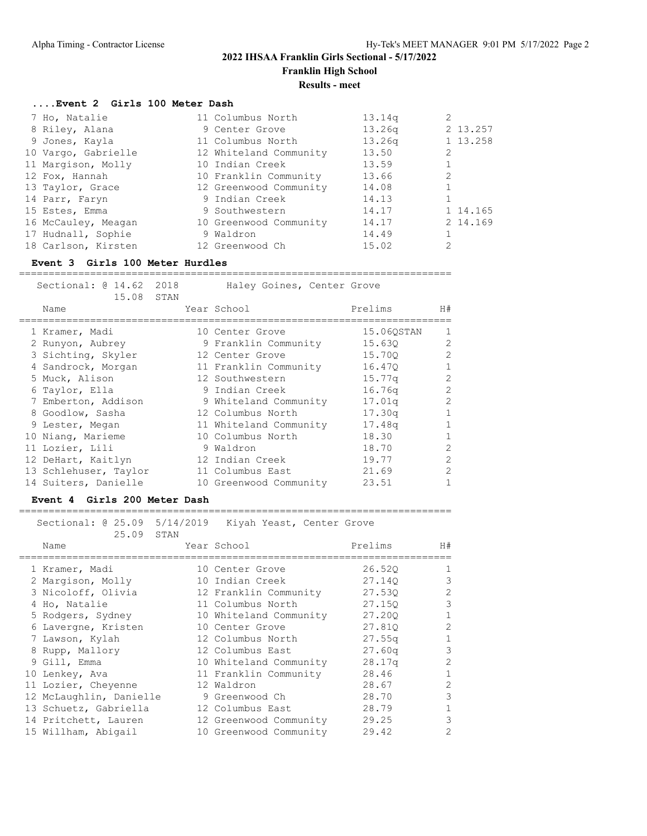**Franklin High School**

# **Results - meet**

### **....Event 2 Girls 100 Meter Dash**

| 7 Ho, Natalie       | 11 Columbus North      | 13.14q |          |
|---------------------|------------------------|--------|----------|
| 8 Riley, Alana      | 9 Center Grove         | 13.26q | 2 13.257 |
| 9 Jones, Kayla      | 11 Columbus North      | 13.26q | 1 13.258 |
| 10 Vargo, Gabrielle | 12 Whiteland Community | 13.50  |          |
| 11 Margison, Molly  | 10 Indian Creek        | 13.59  |          |
| 12 Fox, Hannah      | 10 Franklin Community  | 13.66  |          |
| 13 Taylor, Grace    | 12 Greenwood Community | 14.08  |          |
| 14 Parr, Faryn      | 9 Indian Creek         | 14.13  |          |
| 15 Estes, Emma      | 9 Southwestern         | 14.17  | 1 14.165 |
| 16 McCauley, Meagan | 10 Greenwood Community | 14.17  | 2 14.169 |
| 17 Hudnall, Sophie  | 9 Waldron              | 14.49  |          |
| 18 Carlson, Kirsten | 12 Greenwood Ch        | 15.02  |          |

#### **Event 3 Girls 100 Meter Hurdles**

| Sectional: 0 14.62 2018<br>15.08 | STAN | Haley Goines, Center Grove |            |                |
|----------------------------------|------|----------------------------|------------|----------------|
| Name                             |      | Year School                | Prelims    | H#             |
| 1 Kramer, Madi                   |      | 10 Center Grove            | 15.060STAN |                |
| 2 Runyon, Aubrey                 |      | 9 Franklin Community       | 15.630     | $\mathcal{L}$  |
| 3 Sichting, Skyler               |      | 12 Center Grove            | 15.700     | $\mathcal{L}$  |
| 4 Sandrock, Morgan               |      | 11 Franklin Community      | 16.470     |                |
| 5 Muck, Alison                   |      | 12 Southwestern            | 15.77a     | 2              |
| 6 Taylor, Ella                   |      | 9 Indian Creek             | 16.76q     | 2              |
| 7 Emberton, Addison              |      | 9 Whiteland Community      | 17.01q     | 2              |
| 8 Goodlow, Sasha                 |      | 12 Columbus North          | 17.30q     |                |
| 9 Lester, Megan                  |      | 11 Whiteland Community     | 17.48q     |                |
| 10 Niang, Marieme                |      | 10 Columbus North          | 18.30      |                |
| 11 Lozier, Lili                  |      | 9 Waldron                  | 18.70      | $\mathcal{D}$  |
| 12 DeHart, Kaitlyn               |      | 12 Indian Creek            | 19.77      | $\mathfrak{D}$ |
| 13 Schlehuser, Taylor            |      | 11 Columbus East           | 21.69      | $\mathfrak{D}$ |
| 14 Suiters, Danielle             |      | 10 Greenwood Community     | 23.51      |                |

#### **Event 4 Girls 200 Meter Dash**

# =========================================================================

| Sectional: 0 25.09 5/14/2019<br>25.09 | STAN | Kiyah Yeast, Center Grove |                    |                |
|---------------------------------------|------|---------------------------|--------------------|----------------|
| Name                                  |      | Year School               | Prelims            | H#             |
| 1 Kramer, Madi                        |      | 10 Center Grove           | 26.520             | 1              |
| 2 Margison, Molly                     |      | 10 Indian Creek           | 27.140             | 3              |
| 3 Nicoloff, Olivia                    |      | 12 Franklin Community     | 27.530             | 2              |
| 4 Ho, Natalie                         |      | 11 Columbus North         | 27.150             | 3              |
| 5 Rodgers, Sydney                     |      | 10 Whiteland Community    | 27,200             | 1              |
| 6 Lavergne, Kristen                   |      | 10 Center Grove           | 27.810             | 2              |
| 7 Lawson, Kylah                       |      | 12 Columbus North         | 27.55q             | $\mathbf{1}$   |
| 8 Rupp, Mallory                       |      | 12 Columbus East          | 27.60q             | 3              |
| 9 Gill, Emma                          |      | 10 Whiteland Community    | 28.17 <sub>q</sub> | 2              |
| 10 Lenkey, Ava                        |      | 11 Franklin Community     | 28.46              | 1              |
| 11 Lozier, Cheyenne                   |      | 12 Waldron                | 28.67              | $\mathfrak{D}$ |
| 12 McLaughlin, Danielle               |      | 9 Greenwood Ch            | 28.70              | 3              |
| 13 Schuetz, Gabriella                 |      | 12 Columbus East          | 28.79              |                |
| 14 Pritchett, Lauren                  |      | 12 Greenwood Community    | 29.25              | 3              |
| 15 Willham, Abigail                   |      | 10 Greenwood Community    | 29.42              | $\overline{2}$ |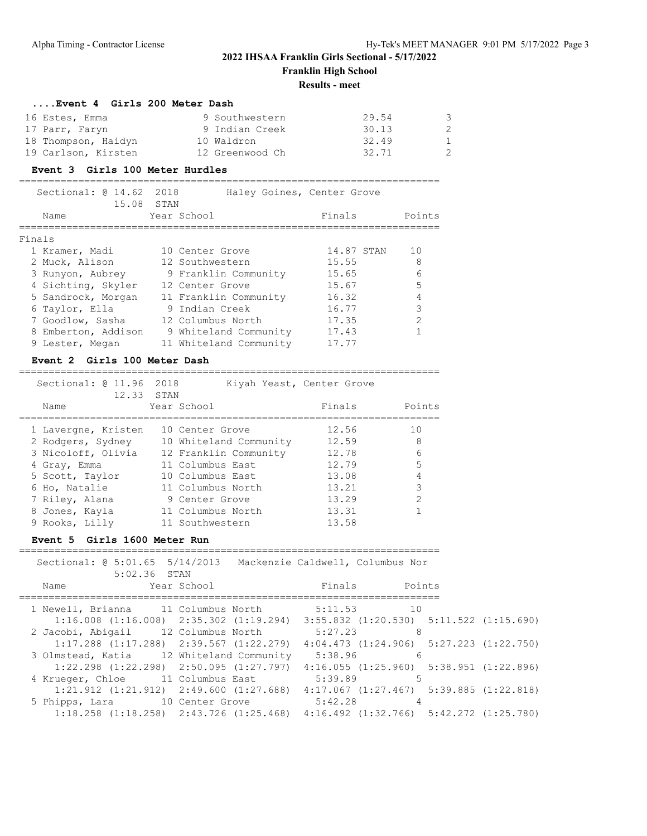**Franklin High School**

#### **Results - meet**

| Event 4 Girls 200 Meter Dash |                 |       |              |
|------------------------------|-----------------|-------|--------------|
| 16 Estes, Emma               | 9 Southwestern  | 29.54 | 3            |
| 17 Parr, Faryn               | 9 Indian Creek  | 30.13 | 2            |
| 18 Thompson, Haidyn          | 10 Waldron      | 32.49 | $\mathbf{1}$ |
| 19 Carlson, Kirsten          | 12 Greenwood Ch | 32.71 | 2            |

#### **Event 3 Girls 100 Meter Hurdles**

| Sectional: $@14.62$<br>15.08 | 2018<br>STAN           | Haley Goines, Center Grove |               |
|------------------------------|------------------------|----------------------------|---------------|
| Name                         | Year School            | Finals                     | Points        |
| Finals                       |                        |                            |               |
| 1 Kramer, Madi               | 10 Center Grove        | 14.87 STAN                 | 10            |
| 2 Muck, Alison               | 12 Southwestern        | 15.55                      | 8             |
| 3 Runyon, Aubrey             | 9 Franklin Community   | 15.65                      | 6             |
| 4 Sichting, Skyler           | 12 Center Grove        | 15.67                      | 5             |
| 5 Sandrock, Morgan           | 11 Franklin Community  | 16.32                      |               |
| 6 Taylor, Ella               | 9 Indian Creek         | 16.77                      | 3             |
| 7 Goodlow, Sasha             | 12 Columbus North      | 17.35                      | $\mathcal{D}$ |
| 8 Emberton, Addison          | 9 Whiteland Community  | 17.43                      |               |
| 9 Lester, Megan              | 11 Whiteland Community | 17.77                      |               |
|                              |                        |                            |               |

#### **Event 2 Girls 100 Meter Dash**

### Sectional: @ 11.96 2018 Kiyah Yeast, Center Grove 12.33 STAN Name Year School **Finals** Points ======================================================================= 1 Lavergne, Kristen 10 Center Grove 12.56 10 2 Rodgers, Sydney 10 Whiteland Community 12.59 8 3 Nicoloff, Olivia 12 Franklin Community 12.78 6 4 Gray, Emma 11 Columbus East 12.79 5 5 Scott, Taylor 10 Columbus East 13.08 4 6 Ho, Natalie 11 Columbus North 13.21 3 7 Riley, Alana 9 Center Grove 13.29 2 8 Jones, Kayla 11 Columbus North 13.31 1 9 Rooks, Lilly 11 Southwestern 13.58

=======================================================================

#### **Event 5 Girls 1600 Meter Run**

| Name |                |                             |                                                                                                                                                                                |    |                                                               |                                                                                                                                                                                                                                                                                                                                                                                                                                                                                                                                                                                          |
|------|----------------|-----------------------------|--------------------------------------------------------------------------------------------------------------------------------------------------------------------------------|----|---------------------------------------------------------------|------------------------------------------------------------------------------------------------------------------------------------------------------------------------------------------------------------------------------------------------------------------------------------------------------------------------------------------------------------------------------------------------------------------------------------------------------------------------------------------------------------------------------------------------------------------------------------------|
|      |                |                             |                                                                                                                                                                                | 10 |                                                               |                                                                                                                                                                                                                                                                                                                                                                                                                                                                                                                                                                                          |
|      |                |                             |                                                                                                                                                                                |    |                                                               |                                                                                                                                                                                                                                                                                                                                                                                                                                                                                                                                                                                          |
|      |                |                             |                                                                                                                                                                                | 8  |                                                               |                                                                                                                                                                                                                                                                                                                                                                                                                                                                                                                                                                                          |
|      |                |                             |                                                                                                                                                                                |    |                                                               |                                                                                                                                                                                                                                                                                                                                                                                                                                                                                                                                                                                          |
|      |                |                             |                                                                                                                                                                                | 6  |                                                               |                                                                                                                                                                                                                                                                                                                                                                                                                                                                                                                                                                                          |
|      |                |                             |                                                                                                                                                                                |    |                                                               |                                                                                                                                                                                                                                                                                                                                                                                                                                                                                                                                                                                          |
|      |                |                             |                                                                                                                                                                                | 5  |                                                               |                                                                                                                                                                                                                                                                                                                                                                                                                                                                                                                                                                                          |
|      |                |                             |                                                                                                                                                                                |    |                                                               |                                                                                                                                                                                                                                                                                                                                                                                                                                                                                                                                                                                          |
|      |                |                             |                                                                                                                                                                                |    |                                                               |                                                                                                                                                                                                                                                                                                                                                                                                                                                                                                                                                                                          |
|      |                |                             |                                                                                                                                                                                |    |                                                               |                                                                                                                                                                                                                                                                                                                                                                                                                                                                                                                                                                                          |
|      | 5 Phipps, Lara | 5:02.36 STAN<br>Year School | 1 Newell, Brianna 11 Columbus North<br>2 Jacobi, Abigail 12 Columbus North<br>3 Olmstead, Katia 12 Whiteland Community<br>4 Krueger, Chloe 11 Columbus East<br>10 Center Grove |    | Finals<br>5:11.53<br>5:27.23<br>5:38.96<br>5:39.89<br>5:42.28 | Sectional: 0 5:01.65 5/14/2013 Mackenzie Caldwell, Columbus Nor<br>Points<br>$1:16.008$ $(1:16.008)$ $2:35.302$ $(1:19.294)$ $3:55.832$ $(1:20.530)$ $5:11.522$ $(1:15.690)$<br>$1:17.288$ $(1:17.288)$ $2:39.567$ $(1:22.279)$ $4:04.473$ $(1:24.906)$ $5:27.223$ $(1:22.750)$<br>$1:22.298$ $(1:22.298)$ $2:50.095$ $(1:27.797)$ $4:16.055$ $(1:25.960)$ $5:38.951$ $(1:22.896)$<br>$1:21.912$ $(1:21.912)$ $2:49.600$ $(1:27.688)$ $4:17.067$ $(1:27.467)$ $5:39.885$ $(1:22.818)$<br>$1:18.258$ $(1:18.258)$ $2:43.726$ $(1:25.468)$ $4:16.492$ $(1:32.766)$ $5:42.272$ $(1:25.780)$ |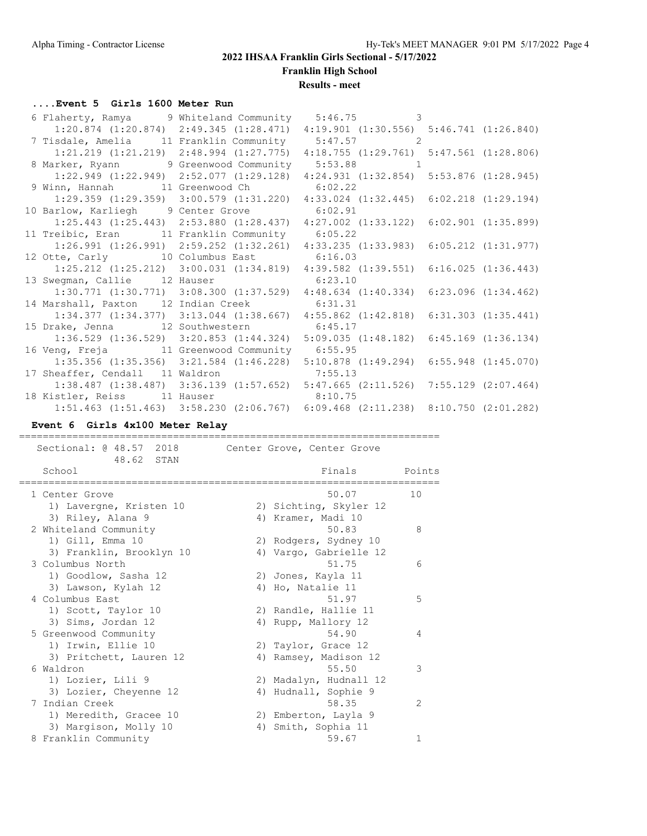**Franklin High School**

**Results - meet**

### **....Event 5 Girls 1600 Meter Run**

| 6 Flaherty, Ramya 9 Whiteland Community 5:46.75 3                                               |                                                                                                 |  |
|-------------------------------------------------------------------------------------------------|-------------------------------------------------------------------------------------------------|--|
| $1:20.874$ $(1:20.874)$ $2:49.345$ $(1:28.471)$ $4:19.901$ $(1:30.556)$ $5:46.741$ $(1:26.840)$ |                                                                                                 |  |
| 7 Tisdale, Amelia 11 Franklin Community 5:47.57 2                                               |                                                                                                 |  |
|                                                                                                 | 1:21.219 (1:21.219) 2:48.994 (1:27.775) 4:18.755 (1:29.761) 5:47.561 (1:28.806)                 |  |
| 8 Marker, Ryann 9 Greenwood Community 5:53.88 1                                                 |                                                                                                 |  |
|                                                                                                 | 1:22.949 (1:22.949) 2:52.077 (1:29.128) 4:24.931 (1:32.854) 5:53.876 (1:28.945)                 |  |
| 9 Winn, Hannah 11 Greenwood Ch 6:02.22                                                          |                                                                                                 |  |
|                                                                                                 | $1:29.359$ $(1:29.359)$ $3:00.579$ $(1:31.220)$ $4:33.024$ $(1:32.445)$ $6:02.218$ $(1:29.194)$ |  |
| 10 Barlow, Karliegh 9 Center Grove 6:02.91                                                      |                                                                                                 |  |
|                                                                                                 | 1:25.443 (1:25.443) 2:53.880 (1:28.437) 4:27.002 (1:33.122) 6:02.901 (1:35.899)                 |  |
| 11 Treibic, Eran 11 Franklin Community 6:05.22                                                  |                                                                                                 |  |
|                                                                                                 | 1:26.991 (1:26.991) 2:59.252 (1:32.261) 4:33.235 (1:33.983) 6:05.212 (1:31.977)                 |  |
| 12 Otte, Carly 10 Columbus East 6:16.03                                                         |                                                                                                 |  |
|                                                                                                 | 1:25.212 (1:25.212) 3:00.031 (1:34.819) 4:39.582 (1:39.551) 6:16.025 (1:36.443)                 |  |
| 13 Swegman, Callie 12 Hauser 6:23.10                                                            |                                                                                                 |  |
|                                                                                                 | $1:30.771$ $(1:30.771)$ $3:08.300$ $(1:37.529)$ $4:48.634$ $(1:40.334)$ $6:23.096$ $(1:34.462)$ |  |
| 14 Marshall, Paxton 12 Indian Creek 6:31.31                                                     |                                                                                                 |  |
|                                                                                                 | 1:34.377 (1:34.377) 3:13.044 (1:38.667) 4:55.862 (1:42.818) 6:31.303 (1:35.441)                 |  |
| 15 Drake, Jenna 12 Southwestern 6:45.17                                                         |                                                                                                 |  |
|                                                                                                 | 1:36.529 (1:36.529) 3:20.853 (1:44.324) 5:09.035 (1:48.182) 6:45.169 (1:36.134)                 |  |
| 16 Veng, Freja 11 Greenwood Community 6:55.95                                                   |                                                                                                 |  |
| $1:35.356$ (1:35.356) $3:21.584$ (1:46.228) 5:10.878 (1:49.294) 6:55.948 (1:45.070)             |                                                                                                 |  |
| 17 Sheaffer, Cendall 11 Waldron 7:55.13                                                         |                                                                                                 |  |
| 1:38.487 (1:38.487) 3:36.139 (1:57.652) 5:47.665 (2:11.526) 7:55.129 (2:07.464)                 |                                                                                                 |  |
| 18 Kistler, Reiss 11 Hauser 8:10.75                                                             |                                                                                                 |  |
|                                                                                                 | 1:51.463 (1:51.463) 3:58.230 (2:06.767) 6:09.468 (2:11.238) 8:10.750 (2:01.282)                 |  |

#### **Event 6 Girls 4x100 Meter Relay**

Sectional: @ 48.57 2018 Center Grove, Center Grove 48.62 STAN Finals Points ======================================================================= 1 Center Grove 50.07 10 1) Lavergne, Kristen 10 2) Sichting, Skyler 12 3) Riley, Alana 9 4) Kramer, Madi 10 2 Whiteland Community 60.83 88 1) Gill, Emma 10 2) Rodgers, Sydney 10 3) Franklin, Brooklyn 10 4) Vargo, Gabrielle 12 3 Columbus North 51.75 6 1) Goodlow, Sasha 12 2) Jones, Kayla 11 3) Lawson, Kylah 12 4) Ho, Natalie 11 4 Columbus East 51.97 5 1) Scott, Taylor 10 2) Randle, Hallie 11 3) Sims, Jordan 12 4) Rupp, Mallory 12 5 Greenwood Community 64.90 54.90 1) Irwin, Ellie 10 2) Taylor, Grace 12 3) Pritchett, Lauren 12 4) Ramsey, Madison 12 6 Waldron 3 3 3 3 3 3 3 4 4 5 4 5 4  $\sim$  55.50 3 3 4 5 4  $\sim$  55.50 3 3 3 4  $\sim$  55.50 3 3 3 3 4  $\sim$  55.50 3 3 3 3 4  $\sim$  55.50 3 3 3 4  $\sim$  55.50 3 3 3 4  $\sim$  55.50 3 3 4  $\sim$  55.50 3 3 4  $\sim$  55.50 3 3 5 5 5 5 5 5 5 5 5 1) Lozier, Lili 9 2) Madalyn, Hudnall 12 3) Lozier, Cheyenne 12 4) Hudnall, Sophie 9 7 Indian Creek 58.35 2 1) Meredith, Gracee 10 2) Emberton, Layla 9 3) Margison, Molly 10  $\hskip1cm$  4) Smith, Sophia 11 8 Franklin Community 1 and 59.67 1

=======================================================================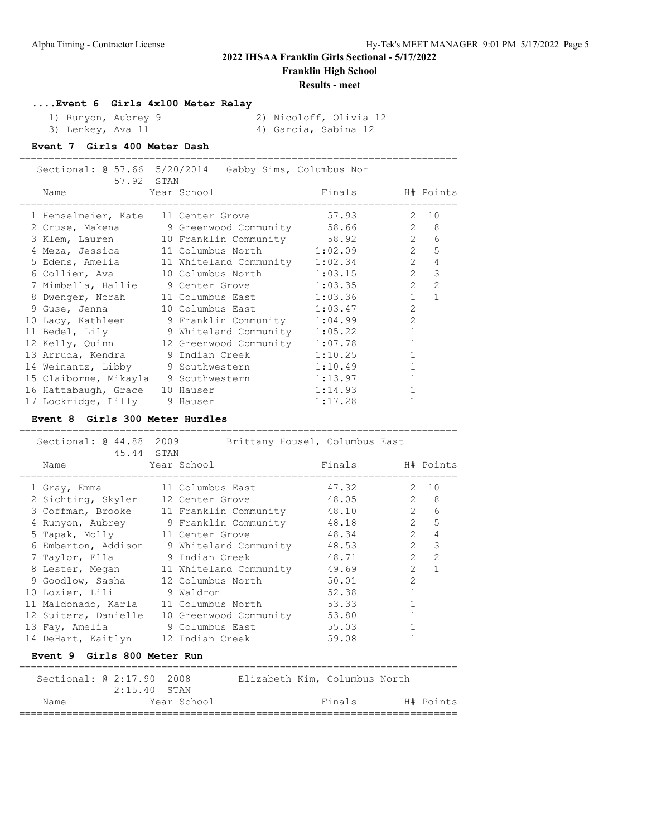**Franklin High School**

#### **Results - meet**

**....Event 6 Girls 4x100 Meter Relay**

| 1) Runyon, Aubrey 9 |  | 2) Nicoloff, Olivia 12 |  |
|---------------------|--|------------------------|--|
| 3) Lenkey, Ava 11   |  | 4) Garcia, Sabina 12   |  |

### **Event 7 Girls 400 Meter Dash**

|                                                                                                                 | Sectional: @ 57.66 5/20/2014 Gabby Sims, Columbus Nor |                            |                |                              |
|-----------------------------------------------------------------------------------------------------------------|-------------------------------------------------------|----------------------------|----------------|------------------------------|
| 57.92 STAN                                                                                                      |                                                       |                            |                |                              |
| Name and the state of the state of the state of the state of the state of the state of the state of the state o | Year School                                           | Finals H# Points           |                |                              |
| 1 Henselmeier, Kate 11 Center Grove                                                                             |                                                       | =================<br>57.93 | 2              | 10                           |
|                                                                                                                 | 2 Cruse, Makena 9 Greenwood Community 58.66 2 8       |                            |                |                              |
|                                                                                                                 | 3 Klem, Lauren 10 Franklin Community 58.92 2 6        |                            |                |                              |
|                                                                                                                 |                                                       |                            |                |                              |
|                                                                                                                 | 4 Meza, Jessica 11 Columbus North 1:02.09             |                            |                | 2 <sub>5</sub>               |
|                                                                                                                 | 5 Edens, Amelia 11 Whiteland Community 1:02.34        |                            | $\overline{2}$ | $\overline{4}$               |
| 6 Collier, Ava                                                                                                  | 10 Columbus North                                     | 1:03.15                    |                | $\mathcal{E}$<br>$2^{\circ}$ |
|                                                                                                                 | 7 Mimbella, Hallie 9 Center Grove                     | 1:03.35                    |                | $2 \quad 2$                  |
|                                                                                                                 | 8 Dwenger, Norah 11 Columbus East 1:03.36             |                            |                | $1 \quad 1$                  |
|                                                                                                                 |                                                       | 1:03.47                    | $\overline{2}$ |                              |
|                                                                                                                 | 10 Lacy, Kathleen 9 Franklin Community 1:04.99        |                            | $\overline{2}$ |                              |
|                                                                                                                 | 11 Bedel, Lily 9 Whiteland Community 1:05.22          |                            | $\mathbf{1}$   |                              |
|                                                                                                                 | 12 Kelly, Quinn 12 Greenwood Community 1:07.78        |                            | $\mathbf{1}$   |                              |
|                                                                                                                 | 13 Arruda, Kendra (1984) 9 Indian Creek               | 1:10.25                    | $\mathbf{1}$   |                              |
|                                                                                                                 | 14 Weinantz, Libby 9 Southwestern                     | 1:10.49                    | $\mathbf{1}$   |                              |
|                                                                                                                 | 15 Claiborne, Mikayla 9 Southwestern                  | 1:13.97                    | $\mathbf{1}$   |                              |
| 16 Hattabaugh, Grace 10 Hauser                                                                                  |                                                       | 1:14.93                    | $\mathbf{1}$   |                              |
| 17 Lockridge, Lilly 9 Hauser                                                                                    |                                                       | 1:17.28                    |                |                              |

==========================================================================

### **Event 8 Girls 300 Meter Hurdles**

| Sectional: @ 44.88 2009<br>45.44 STAN | Brittany Housel, Columbus East        |                  |                |                  |
|---------------------------------------|---------------------------------------|------------------|----------------|------------------|
| Name                                  | Year School                           | Finals H# Points |                |                  |
| 1 Gray, Emma                          | 11 Columbus East                      | 47.32            | $\mathcal{L}$  | 10               |
| 2 Sichting, Skyler                    | 12 Center Grove                       | 48.05            | $\overline{2}$ | 8                |
| 3 Coffman, Brooke                     | 11 Franklin Community                 | 48.10            |                | $2^{\circ}$<br>6 |
|                                       | 4 Runyon, Aubrey 9 Franklin Community | 48.18            | $\overline{2}$ | 5                |
| 5 Tapak, Molly                        | 11 Center Grove                       | 48.34            | $\overline{2}$ | $\overline{4}$   |
| 6 Emberton, Addison                   | 9 Whiteland Community                 | 48.53            |                | 3<br>$2^{\circ}$ |
| 7 Taylor, Ella                        | 9 Indian Creek                        | 48.71            | $\overline{2}$ | $\overline{2}$   |
| 8 Lester, Megan                       | 11 Whiteland Community                | 49.69            | $\mathfrak{D}$ | $\mathbf{1}$     |
| 9 Goodlow, Sasha                      | 12 Columbus North                     | 50.01            | $\mathcal{L}$  |                  |
| 10 Lozier, Lili 9 Waldron             |                                       | 52.38            | $\mathbf{1}$   |                  |
| 11 Maldonado, Karla                   | 11 Columbus North                     | 53.33            | $\mathbf{1}$   |                  |
| 12 Suiters, Danielle                  | 10 Greenwood Community                | 53.80            | $\mathbf{1}$   |                  |
| 13 Fay, Amelia                        | 9 Columbus East                       | 55.03            |                |                  |
| 14 DeHart, Kaitlyn                    | 12 Indian Creek                       | 59.08            |                |                  |
| Event 9 Girls 800 Meter Run           |                                       |                  |                |                  |

| Sectional: @ 2:17.90 2008 | $2:15.40$ STAN |             | Elizabeth Kim, Columbus North |        |           |
|---------------------------|----------------|-------------|-------------------------------|--------|-----------|
| Name                      |                | Year School |                               | Finals | H# Points |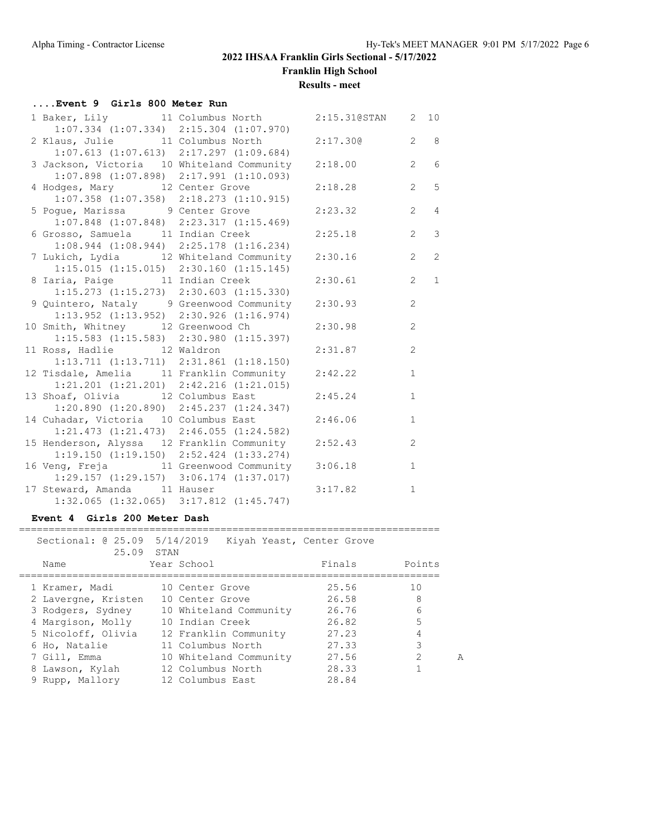**Franklin High School**

#### **Results - meet**

### **....Event 9 Girls 800 Meter Run** 1 Baker, Lily 11 Columbus North 2:15.31@STAN 2 10 1:07.334 (1:07.334) 2:15.304 (1:07.970) 2 Klaus, Julie 11 Columbus North 2:17.30@ 2 8 1:07.613 (1:07.613) 2:17.297 (1:09.684) 3 Jackson, Victoria 10 Whiteland Community 2:18.00 2 6 1:07.898 (1:07.898) 2:17.991 (1:10.093) 4 Hodges, Mary 12 Center Grove 2:18.28 2 5 1:07.358 (1:07.358) 2:18.273 (1:10.915) 5 Poque, Marissa 9 Center Grove 2:23.32 2 4 1:07.848 (1:07.848) 2:23.317 (1:15.469) 6 Grosso, Samuela 11 Indian Creek 2:25.18 2 3 1:08.944 (1:08.944) 2:25.178 (1:16.234) 7 Lukich, Lydia 12 Whiteland Community 2:30.16 2 2 1:15.015 (1:15.015) 2:30.160 (1:15.145) 8 Iaria, Paige 11 Indian Creek 2:30.61 2 1 1:15.273 (1:15.273) 2:30.603 (1:15.330) 9 Quintero, Nataly 9 Greenwood Community 2:30.93 2 1:13.952 (1:13.952) 2:30.926 (1:16.974) 10 Smith, Whitney 12 Greenwood Ch 2:30.98 2 1:15.583 (1:15.583) 2:30.980 (1:15.397) 11 Ross, Hadlie 12 Waldron 2:31.87 2 1:13.711 (1:13.711) 2:31.861 (1:18.150) 12 Tisdale, Amelia 11 Franklin Community 2:42.22 1 1:21.201 (1:21.201) 2:42.216 (1:21.015) 13 Shoaf, Olivia 12 Columbus East 2:45.24 1 1:20.890 (1:20.890) 2:45.237 (1:24.347) 14 Cuhadar, Victoria 10 Columbus East 2:46.06 1 1:21.473 (1:21.473) 2:46.055 (1:24.582) 15 Henderson, Alyssa 12 Franklin Community 2:52.43 2 1:19.150 (1:19.150) 2:52.424 (1:33.274) 16 Veng, Freja 11 Greenwood Community 3:06.18 1 1:29.157 (1:29.157) 3:06.174 (1:37.017) 17 Steward, Amanda 11 Hauser 3:17.82 1 1:32.065 (1:32.065) 3:17.812 (1:45.747)

#### **Event 4 Girls 200 Meter Dash**

| Sectional: 0 25.09 5/14/2019<br>25.09 STAN |                        | Kiyah Yeast, Center Grove |                    |
|--------------------------------------------|------------------------|---------------------------|--------------------|
| Name                                       | Year School            | Finals                    | Points             |
| 1 Kramer, Madi                             | 10 Center Grove        | 25.56                     | 10                 |
| 2 Lavergne, Kristen                        | 10 Center Grove        | 26.58                     | 8                  |
| 3 Rodgers, Sydney                          | 10 Whiteland Community | 26.76                     | 6                  |
| 4 Margison, Molly                          | 10 Indian Creek        | 26.82                     | 5                  |
| 5 Nicoloff, Olivia                         | 12 Franklin Community  | 27.23                     | 4                  |
| 6 Ho, Natalie                              | 11 Columbus North      | 27.33                     | 3                  |
| 7 Gill, Emma                               | 10 Whiteland Community | 27.56                     | $\mathcal{D}$<br>A |
| 8 Lawson, Kylah                            | 12 Columbus North      | 28.33                     |                    |
| 9 Rupp, Mallory                            | 12 Columbus East       | 28.84                     |                    |

=======================================================================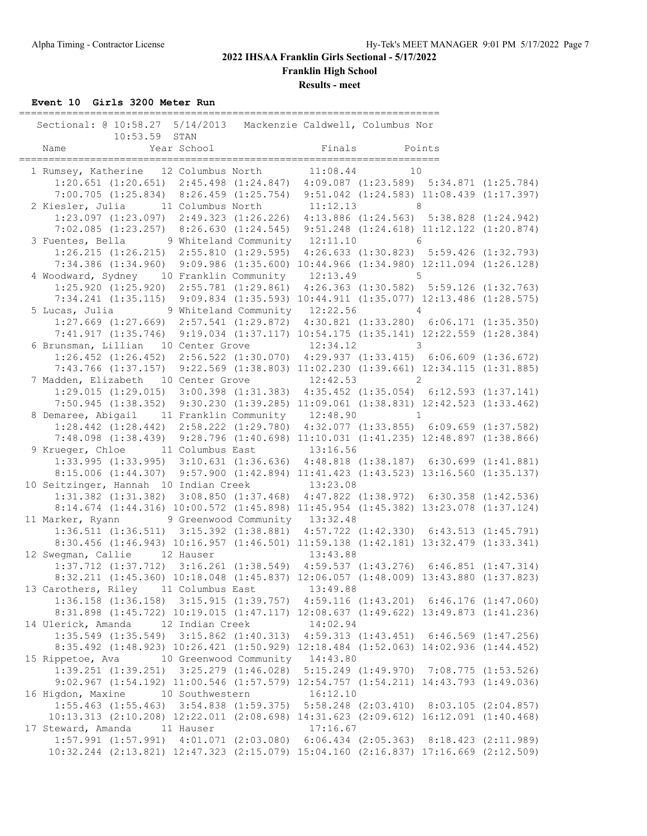**Franklin High School**

**Results - meet**

**Event 10 Girls 3200 Meter Run**

| Sectional: @ 10:58.27 5/14/2013 Mackenzie Caldwell, Columbus Nor                                                                                  |  |  |
|---------------------------------------------------------------------------------------------------------------------------------------------------|--|--|
| 10:53.59 STAN                                                                                                                                     |  |  |
| 1 Rumsey, Katherine 12 Columbus North 11:08.44 10                                                                                                 |  |  |
| 1:20.651 (1:20.651) 2:45.498 (1:24.847) 4:09.087 (1:23.589) 5:34.871 (1:25.784)                                                                   |  |  |
| 7:00.705 (1:25.834) 8:26.459 (1:25.754) 9:51.042 (1:24.583) 11:08.439 (1:17.397)                                                                  |  |  |
| 2 Kiesler, Julia 11 Columbus North 11:12.13 8                                                                                                     |  |  |
| 1:23.097 (1:23.097) 2:49.323 (1:26.226) 4:13.886 (1:24.563) 5:38.828 (1:24.942)                                                                   |  |  |
| 7:02.085 (1:23.257) 8:26.630 (1:24.545) 9:51.248 (1:24.618) 11:12.122 (1:20.874)                                                                  |  |  |
| 3 Fuentes, Bella 9 Whiteland Community 12:11.10 6                                                                                                 |  |  |
| 1:26.215 (1:26.215) 2:55.810 (1:29.595) 4:26.633 (1:30.823) 5:59.426 (1:32.793)                                                                   |  |  |
| 7:34.386 (1:34.960) 9:09.986 (1:35.600) 10:44.966 (1:34.980) 12:11.094 (1:26.128)                                                                 |  |  |
| 4 Woodward, Sydney 10 Franklin Community 12:13.49 5                                                                                               |  |  |
| 1:25.920 (1:25.920) 2:55.781 (1:29.861) 4:26.363 (1:30.582) 5:59.126 (1:32.763)                                                                   |  |  |
| 7:34.241 (1:35.115) 9:09.834 (1:35.593) 10:44.911 (1:35.077) 12:13.486 (1:28.575)                                                                 |  |  |
| 5 Lucas, Julia 9 Whiteland Community 12:22.56 4                                                                                                   |  |  |
| 1:27.669 (1:27.669) 2:57.541 (1:29.872) 4:30.821 (1:33.280) 6:06.171 (1:35.350)                                                                   |  |  |
| 7:41.917 (1:35.746) 9:19.034 (1:37.117) 10:54.175 (1:35.141) 12:22.559 (1:28.384)                                                                 |  |  |
| 6 Brunsman, Lillian 10 Center Grove 12:34.12 3<br>$1:26.452$ $(1:26.452)$ $2:56.522$ $(1:30.070)$ $4:29.937$ $(1:33.415)$ $6:06.609$ $(1:36.672)$ |  |  |
| 7:43.766 (1:37.157) 9:22.569 (1:38.803) 11:02.230 (1:39.661) 12:34.115 (1:31.885)                                                                 |  |  |
| 7 Madden, Elizabeth 10 Center Grove 12:42.53 2                                                                                                    |  |  |
| 1:29.015 (1:29.015) 3:00.398 (1:31.383) 4:35.452 (1:35.054) 6:12.593 (1:37.141)                                                                   |  |  |
| 7:50.945 (1:38.352) 9:30.230 (1:39.285) 11:09.061 (1:38.831) 12:42.523 (1:33.462)                                                                 |  |  |
| 8 Demaree, Abigail 11 Franklin Community 12:48.90 1                                                                                               |  |  |
| 1:28.442 (1:28.442) 2:58.222 (1:29.780) 4:32.077 (1:33.855) 6:09.659 (1:37.582)                                                                   |  |  |
| 7:48.098 (1:38.439) 9:28.796 (1:40.698) 11:10.031 (1:41.235) 12:48.897 (1:38.866)                                                                 |  |  |
| 9 Krueger, Chloe 11 Columbus East 13:16.56                                                                                                        |  |  |
| $1:33.995$ (1:33.995) 3:10.631 (1:36.636) 4:48.818 (1:38.187) 6:30.699 (1:41.881)                                                                 |  |  |
| 8:15.006 (1:44.307) 9:57.900 (1:42.894) 11:41.423 (1:43.523) 13:16.560 (1:35.137)                                                                 |  |  |
| 10 Seitzinger, Hannah 10 Indian Creek 13:23.08                                                                                                    |  |  |
| 1:31.382 (1:31.382) 3:08.850 (1:37.468) 4:47.822 (1:38.972) 6:30.358 (1:42.536)                                                                   |  |  |
| 8:14.674 (1:44.316) 10:00.572 (1:45.898) 11:45.954 (1:45.382) 13:23.078 (1:37.124)                                                                |  |  |
| 11 Marker, Ryann 9 Greenwood Community 13:32.48                                                                                                   |  |  |
| 1:36.511 (1:36.511) 3:15.392 (1:38.881) 4:57.722 (1:42.330) 6:43.513 (1:45.791)                                                                   |  |  |
| 8:30.456 (1:46.943) 10:16.957 (1:46.501) 11:59.138 (1:42.181) 13:32.479 (1:33.341)                                                                |  |  |
| 12 Swegman, Callie 12 Hauser 13:43.88<br>1:37.712 (1:37.712) 3:16.261 (1:38.549) 4:59.537 (1:43.276) 6:46.851 (1:47.314)                          |  |  |
| 8:32.211 (1:45.360) 10:18.048 (1:45.837) 12:06.057 (1:48.009) 13:43.880 (1:37.823)                                                                |  |  |
| 13 Carothers, Riley 11 Columbus East 13:49.88                                                                                                     |  |  |
| 1:36.158 (1:36.158) 3:15.915 (1:39.757) 4:59.116 (1:43.201) 6:46.176 (1:47.060)                                                                   |  |  |
| 8:31.898 (1:45.722) 10:19.015 (1:47.117) 12:08.637 (1:49.622) 13:49.873 (1:41.236)                                                                |  |  |
| 14 Ulerick, Amanda 12 Indian Creek 14:02.94                                                                                                       |  |  |
| 1:35.549 (1:35.549) 3:15.862 (1:40.313) 4:59.313 (1:43.451) 6:46.569 (1:47.256)                                                                   |  |  |
| 8:35.492 (1:48.923) 10:26.421 (1:50.929) 12:18.484 (1:52.063) 14:02.936 (1:44.452)                                                                |  |  |
| 15 Rippetoe, Ava 10 Greenwood Community 14:43.80                                                                                                  |  |  |
| 1:39.251 (1:39.251) 3:25.279 (1:46.028) 5:15.249 (1:49.970) 7:08.775 (1:53.526)                                                                   |  |  |
| 9:02.967 (1:54.192) 11:00.546 (1:57.579) 12:54.757 (1:54.211) 14:43.793 (1:49.036)                                                                |  |  |
| 16 Higdon, Maxine 10 Southwestern 16:12.10                                                                                                        |  |  |
| 1:55.463 (1:55.463) 3:54.838 (1:59.375) 5:58.248 (2:03.410) 8:03.105 (2:04.857)                                                                   |  |  |
| 10:13.313 (2:10.208) 12:22.011 (2:08.698) 14:31.623 (2:09.612) 16:12.091 (1:40.468)                                                               |  |  |
| 17 Steward, Amanda 11 Hauser 17:16.67<br>1:57.991 (1:57.991) 4:01.071 (2:03.080) 6:06.434 (2:05.363) 8:18.423 (2:11.989)                          |  |  |
| 10:32.244 (2:13.821) 12:47.323 (2:15.079) 15:04.160 (2:16.837) 17:16.669 (2:12.509)                                                               |  |  |
|                                                                                                                                                   |  |  |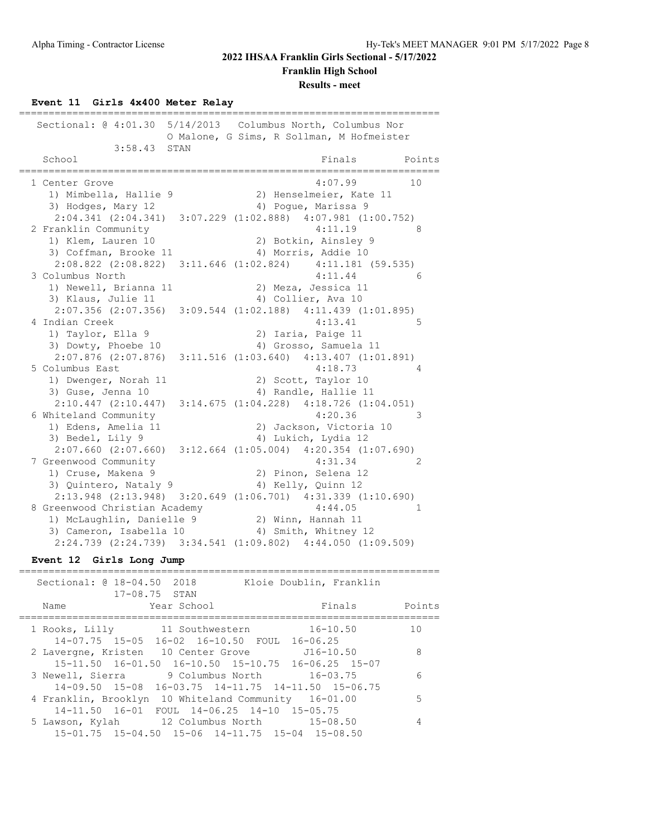**Franklin High School**

**Results - meet**

# **Event 11 Girls 4x400 Meter Relay**

| Sectional: $@4:01.30$         | 5/14/2013 Columbus North, Columbus Nor<br>O Malone, G Sims, R Sollman, M Hofmeister |
|-------------------------------|-------------------------------------------------------------------------------------|
| 3:58.43<br>STAN<br>School     | Finals<br>Points                                                                    |
| 1 Center Grove                | 4:07.99<br>10                                                                       |
| 1) Mimbella, Hallie 9         | 2) Henselmeier, Kate 11                                                             |
| 3) Hodges, Mary 12            | 4) Poque, Marissa 9                                                                 |
|                               | 2:04.341 (2:04.341) 3:07.229 (1:02.888) 4:07.981 (1:00.752)                         |
| 2 Franklin Community          | 4:11.19<br>8                                                                        |
| 1) Klem, Lauren 10            | 2) Botkin, Ainsley 9                                                                |
| 3) Coffman, Brooke 11         | 4) Morris, Addie 10                                                                 |
|                               | 2:08.822 (2:08.822) 3:11.646 (1:02.824) 4:11.181 (59.535)                           |
| 3 Columbus North              | 4:11.44<br>6                                                                        |
| 1) Newell, Brianna 11         | 2) Meza, Jessica 11                                                                 |
| 3) Klaus, Julie 11            | 4) Collier, Ava 10                                                                  |
|                               | 2:07.356 (2:07.356) 3:09.544 (1:02.188) 4:11.439 (1:01.895)                         |
| 4 Indian Creek                | 4:13.41<br>5                                                                        |
| 1) Taylor, Ella 9             | 2) Iaria, Paige 11                                                                  |
| 3) Dowty, Phoebe 10           | 4) Grosso, Samuela 11                                                               |
|                               | 2:07.876 (2:07.876) 3:11.516 (1:03.640) 4:13.407 (1:01.891)                         |
| 5 Columbus East               | 4:18.73<br>4                                                                        |
| 1) Dwenger, Norah 11          | 2) Scott, Taylor 10                                                                 |
| 3) Guse, Jenna 10             | 4) Randle, Hallie 11                                                                |
| 2:10.447(2:10.447)            | $3:14.675$ $(1:04.228)$ $4:18.726$ $(1:04.051)$                                     |
| 6 Whiteland Community         | 4:20.36<br>3                                                                        |
| 1) Edens, Amelia 11           | 2) Jackson, Victoria 10                                                             |
| 3) Bedel, Lily 9              | 4) Lukich, Lydia 12                                                                 |
| $2:07.660$ $(2:07.660)$       | $3:12.664$ $(1:05.004)$ $4:20.354$ $(1:07.690)$                                     |
| 7 Greenwood Community         | 4:31.34<br>2                                                                        |
| 1) Cruse, Makena 9            | 2) Pinon, Selena 12                                                                 |
| 3) Quintero, Nataly 9         | 4) Kelly, Quinn 12                                                                  |
|                               | $2:13.948$ $(2:13.948)$ $3:20.649$ $(1:06.701)$ $4:31.339$ $(1:10.690)$             |
| 8 Greenwood Christian Academy | 4:44.05<br>$\mathbf{1}$                                                             |
| 1) McLaughlin, Danielle 9     | 2) Winn, Hannah 11                                                                  |
| 3) Cameron, Isabella 10       | 4) Smith, Whitney 12                                                                |
|                               | 2:24.739 (2:24.739) 3:34.541 (1:09.802) 4:44.050 (1:09.509)                         |

### **Event 12 Girls Long Jump**

| Sectional: @ 18-04.50 2018<br>$17 - 08.75$ STAN                                                           | Kloie Doublin, Franklin                     |        |
|-----------------------------------------------------------------------------------------------------------|---------------------------------------------|--------|
| Year School<br>Name                                                                                       | Finals                                      | Points |
| 1 Rooks, Lilly 11 Southwestern 16-10.50<br>14-07.75 15-05 16-02 16-10.50 FOUL 16-06.25                    |                                             | 1 O    |
| 2 Lavergne, Kristen 10 Center Grove 516-10.50<br>15-11.50  16-01.50  16-10.50  15-10.75  16-06.25  15-07  |                                             | 8      |
| 9 Columbus North 16-03.75<br>3 Newell, Sierra<br>$14 - 09.50$ $15 - 08$                                   | $16-03.75$ $14-11.75$ $14-11.50$ $15-06.75$ | 6      |
| 4 Franklin, Brooklyn 10 Whiteland Community 16-01.00<br>14-11.50 16-01 FOUL 14-06.25 14-10 15-05.75       |                                             | 5      |
| 5 Lawson, Kylah 12 Columbus North 15-08.50<br>$15-01.75$ $15-04.50$ $15-06$ $14-11.75$ $15-04$ $15-08.50$ |                                             | 4      |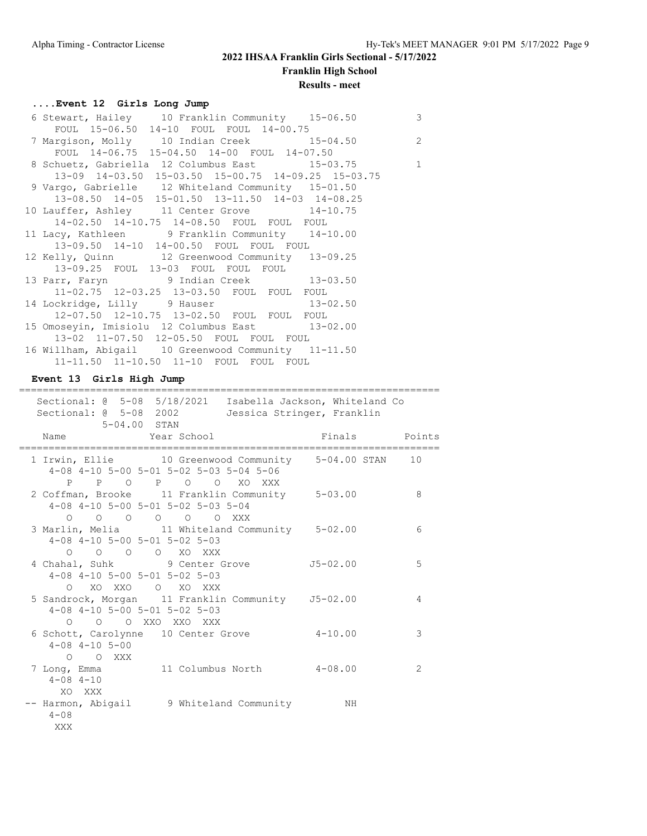# **2022 IHSAA Franklin Girls Sectional - 5/17/2022 Franklin High School**

# **Results - meet**

# **....Event 12 Girls Long Jump**

| 6 Stewart, Hailey 10 Franklin Community 15-06.50    | 3 |
|-----------------------------------------------------|---|
| FOUL 15-06.50 14-10 FOUL FOUL 14-00.75              |   |
| 7 Margison, Molly 10 Indian Creek 15-04.50          | 2 |
| FOUL 14-06.75 15-04.50 14-00 FOUL 14-07.50          |   |
| 8 Schuetz, Gabriella 12 Columbus East 15-03.75 1    |   |
| 13-09 14-03.50 15-03.50 15-00.75 14-09.25 15-03.75  |   |
| 9 Vargo, Gabrielle 12 Whiteland Community 15-01.50  |   |
| 13-08.50 14-05 15-01.50 13-11.50 14-03 14-08.25     |   |
| 10 Lauffer, Ashley 11 Center Grove 14-10.75         |   |
| 14-02.50 14-10.75 14-08.50 FOUL FOUL FOUL           |   |
| 11 Lacy, Kathleen 9 Franklin Community 14-10.00     |   |
| 13-09.50 14-10 14-00.50 FOUL FOUL FOUL              |   |
| 12 Kelly, Quinn 12 Greenwood Community 13-09.25     |   |
| 13-09.25 FOUL 13-03 FOUL FOUL FOUL                  |   |
| 13 Parr, Faryn 9 Indian Creek 13-03.50              |   |
| 11-02.75 12-03.25 13-03.50 FOUL FOUL FOUL           |   |
| 14 Lockridge, Lilly 9 Hauser 13-02.50               |   |
| 12-07.50 12-10.75 13-02.50 FOUL FOUL FOUL           |   |
| 15 Omoseyin, Imisiolu 12 Columbus East 13-02.00     |   |
| 13-02 11-07.50 12-05.50 FOUL FOUL FOUL              |   |
| 16 Willham, Abigail 10 Greenwood Community 11-11.50 |   |
| 11-11.50 11-10.50 11-10 FOUL FOUL FOUL              |   |

**Event 13 Girls High Jump**

| =================<br>Sectional: @ 5-08 5/18/2021 Isabella Jackson, Whiteland Co<br>Sectional: 0 5-08 2002<br>5-04.00 STAN                                   | Jessica Stringer, Franklin |    |
|-------------------------------------------------------------------------------------------------------------------------------------------------------------|----------------------------|----|
| Year School New Points Rinals Roints<br>Name                                                                                                                | ==================         |    |
| 1 Irwin, Ellie 10 Greenwood Community 5-04.00 STAN 10<br>$4-08$ $4-10$ $5-00$ $5-01$ $5-02$ $5-03$ $5-04$ $5-06$<br>P P O P O O XO XXX                      |                            |    |
| 2 Coffman, Brooke 11 Franklin Community 5-03.00<br>$4-08$ $4-10$ $5-00$ $5-01$ $5-02$ $5-03$ $5-04$<br>$\begin{matrix}0&0&0&0&0&0&0&\text{XXX}\end{matrix}$ |                            | 8  |
| 3 Marlin, Melia 11 Whiteland Community 5-02.00<br>$4-08$ $4-10$ $5-00$ $5-01$ $5-02$ $5-03$<br>0 0 0 0 XOXXX                                                |                            | 6  |
| 4 Chahal, Suhk 9 Center Grove 55-02.00<br>$4-08$ $4-10$ $5-00$ $5-01$ $5-02$ $5-03$<br>0 XO XXO O XO XXX                                                    |                            | .5 |
| 5 Sandrock, Morgan 11 Franklin Community J5-02.00<br>$4-08$ $4-10$ $5-00$ $5-01$ $5-02$ $5-03$<br>O O O XXO XXO XXX                                         |                            | 4  |
| 6 Schott, Carolynne 10 Center Grove<br>$4 - 08$ $4 - 10$ $5 - 00$<br>O O XXX                                                                                | $4 - 10.00$                | 3  |
| 7 Long, Emma 11 Columbus North 4-08.00<br>$4 - 08$ $4 - 10$<br>XO XXX                                                                                       |                            | 2  |
| -- Harmon, Abigail 9 Whiteland Community MH<br>$4 - 08$<br>XXX                                                                                              |                            |    |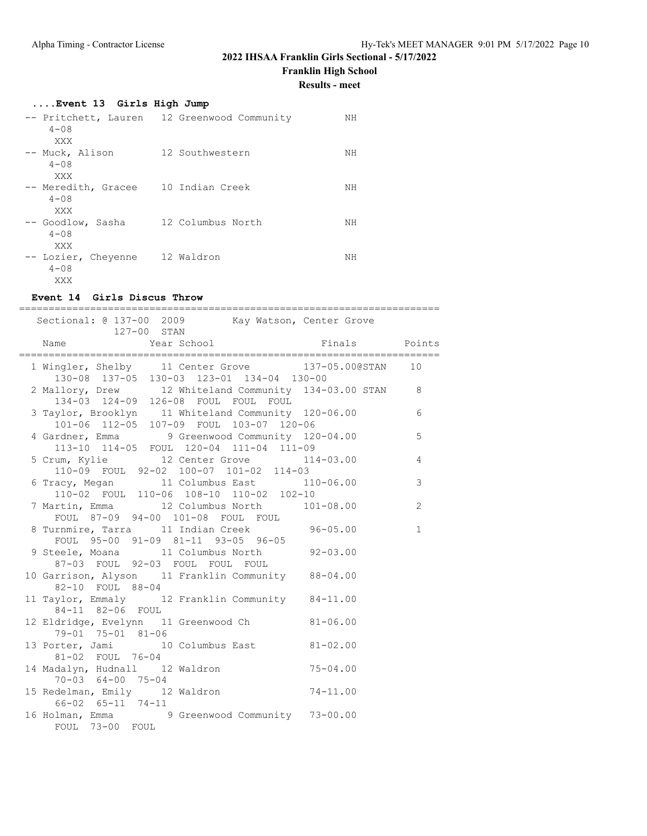**Franklin High School**

**Results - meet**

| Event 13 Girls High Jump         |                                             |    |
|----------------------------------|---------------------------------------------|----|
|                                  | -- Pritchett, Lauren 12 Greenwood Community | NH |
| $4 - 0.8$<br>XXX                 |                                             |    |
| -- Muck, Alison<br>$4 - 0.8$     | 12 Southwestern                             | NH |
| XXX                              |                                             |    |
| -- Meredith, Gracee<br>$4 - 0.8$ | 10 Indian Creek                             | ΝH |
| XXX                              |                                             |    |
| -- Goodlow, Sasha<br>$4 - 0.8$   | 12 Columbus North                           | NΗ |
| XXX                              |                                             |    |
| -- Lozier, Cheyenne              | 12 Waldron                                  | NΗ |
| $4 - 0.8$<br>XXX                 |                                             |    |

## **Event 14 Girls Discus Throw**

| ----------------------------                                                                                                                                                               |              |              |
|--------------------------------------------------------------------------------------------------------------------------------------------------------------------------------------------|--------------|--------------|
| Sectional: @ 137-00 2009 Kay Watson, Center Grove<br>127-00 STAN                                                                                                                           |              |              |
| Year School Finals Points<br>Name                                                                                                                                                          |              |              |
| 1 Wingler, Shelby 11 Center Grove 137-05.00@STAN 10                                                                                                                                        |              |              |
| 1 WINGTLY SHOLD 130-03 123-01 134-04 130-00<br>130-08 137-05 130-03 123-01 134-04 130-00<br>2 Mallory, Drew 12 Whiteland Community 134-03.00 STAN 8<br>134-03 124-09 126-08 FOUL FOUL FOUL |              |              |
| 3 Taylor, Brooklyn 11 Whiteland Community 120-06.00 6                                                                                                                                      |              |              |
| 101-06 112-05 107-09 FOUL 103-07 120-06<br>4 Gardner, Emma 9 Greenwood Community 120-04.00<br>113-10 114-05 FOUL 120-04 111-04 111-09                                                      |              | 5            |
| 5 Crum, Kylie 12 Center Grove 114-03.00<br>110-09 FOUL 92-02 100-07 101-02 114-03                                                                                                          |              | 4            |
| 6 Tracy, Megan 11 Columbus East 110-06.00<br>110-02 FOUL 110-06 108-10 110-02 102-10                                                                                                       |              | 3            |
| 7 Martin, Emma 12 Columbus North 101-08.00<br>FOUL 87-09 94-00 101-08 FOUL FOUL                                                                                                            |              | 2            |
| 8 Turnmire, Tarra 11 Indian Creek 96-05.00<br>FOUL 95-00 91-09 81-11 93-05 96-05                                                                                                           |              | $\mathbf{1}$ |
| 9 Steele, Moana 11 Columbus North 92-03.00<br>87-03 FOUL 92-03 FOUL FOUL FOUL                                                                                                              |              |              |
| 10 Garrison, Alyson 11 Franklin Community 88-04.00<br>82-10 FOUL 88-04                                                                                                                     |              |              |
| 11 Taylor, Emmaly 12 Franklin Community 84-11.00<br>84-11 82-06 FOUL                                                                                                                       |              |              |
| 12 Eldridge, Evelynn 11 Greenwood Ch 81-06.00<br>79-01 75-01 81-06                                                                                                                         |              |              |
| 13 Porter, Jami 10 Columbus East 81-02.00<br>81-02 FOUL 76-04                                                                                                                              |              |              |
| 14 Madalyn, Hudnall 12 Waldron<br>70-03 64-00 75-04                                                                                                                                        | $75 - 04.00$ |              |
| 15 Redelman, Emily 12 Waldron 74-11.00<br>66-02 65-11 74-11                                                                                                                                |              |              |
| 16 Holman, Emma 9 Greenwood Community 73-00.00<br>FOUL 73-00 FOUL                                                                                                                          |              |              |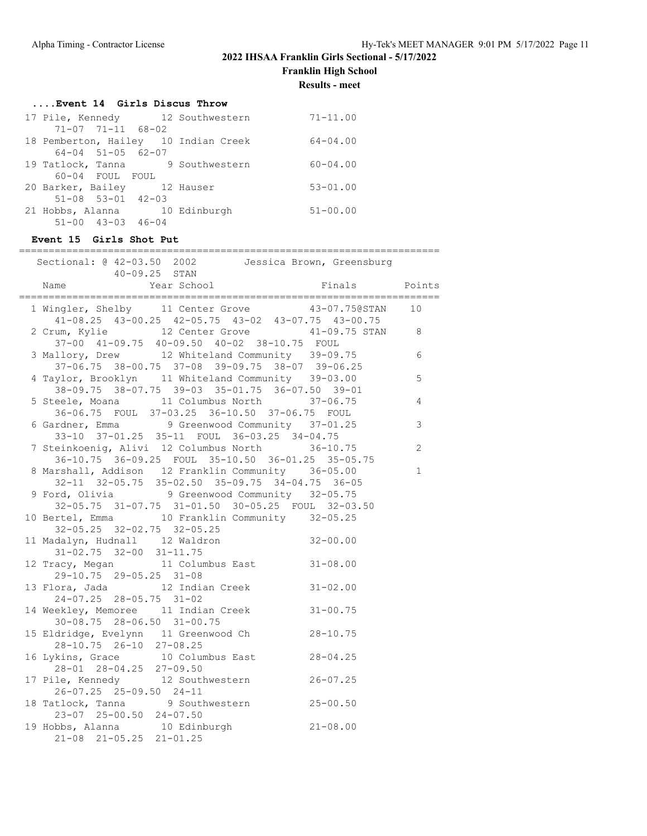**Franklin High School**

**Results - meet**

|  | Event 14 Girls Discus Throw |  |  |
|--|-----------------------------|--|--|
|  |                             |  |  |

| 17 Pile, Kennedy 12 Southwestern     |  | $71 - 11.00$ |
|--------------------------------------|--|--------------|
| $71 - 07$ $71 - 11$ $68 - 02$        |  |              |
| 18 Pemberton, Hailey 10 Indian Creek |  | $64 - 04.00$ |
| $64 - 04$ $51 - 05$ $62 - 07$        |  |              |
| 19 Tatlock, Tanna 9 Southwestern     |  | $60 - 04.00$ |
| 60-04 FOUL FOUL                      |  |              |
| 20 Barker, Bailey 12 Hauser          |  | $53 - 01.00$ |
| $51-08$ $53-01$ $42-03$              |  |              |
| 21 Hobbs, Alanna 10 Edinburgh        |  | $51 - 00.00$ |
| $51 - 00$ $43 - 03$ $46 - 04$        |  |              |

| 21 Hobbs, Alanna 10 Edinburgh 51-00.00<br>$51-00$ $43-03$ $46-04$                                                                                    |              |  |
|------------------------------------------------------------------------------------------------------------------------------------------------------|--------------|--|
| Event 15 Girls Shot Put                                                                                                                              |              |  |
| Sectional: @ 42-03.50 2002   Jessica Brown, Greensburg                                                                                               |              |  |
| Name                                                                                                                                                 |              |  |
| 1 Wingler, Shelby 11 Center Grove 43-07.75@STAN 10<br>41-08.25 43-00.25 42-05.75 43-02 43-07.75 43-00.75                                             |              |  |
| 2 Crum, Kylie 12 Center Grove 41-09.75 STAN 8<br>37-00 41-09.75 40-09.50 40-02 38-10.75 FOUL                                                         |              |  |
| 3 Mallory, Drew 12 Whiteland Community 39-09.75<br>37-06.75 38-00.75 37-08 39-09.75 38-07 39-06.25                                                   | 6            |  |
| 4 Taylor, Brooklyn 11 Whiteland Community 39-03.00<br>38-09.75 38-07.75 39-03 35-01.75 36-07.50 39-01                                                | 5            |  |
| 5 Steele, Moana 11 Columbus North 37-06.75<br>36-06.75 FOUL 37-03.25 36-10.50 37-06.75 FOUL                                                          | 4            |  |
| 6 Gardner, Emma<br>33-10 37-01.25 35-11 FOUL 36-03.25 34-04.75                                                                                       | 3            |  |
| 7 Steinkoenig, Alivi 12 Columbus North 36-10.75<br>36-10.75 36-09.25 FOUL 35-10.50 36-01.25 35-05.75                                                 | 2            |  |
| 8 Marshall, Addison 12 Franklin Community 36-05.00<br>32-11 32-05.75 35-02.50 35-09.75 34-04.75 36-05                                                | $\mathbf 1$  |  |
| 9 Ford, Olivia 9 Greenwood Community 32-05.75<br>32-05.75 31-07.75 31-01.50 30-05.25 FOUL 32-03.50<br>10 Bertel, Emma 10 Franklin Community 32-05.25 |              |  |
| 32-05.25 32-02.75 32-05.25<br>11 Madalyn, Hudnall 12 Waldron 32-00.00                                                                                |              |  |
| $31-02.75$ $32-00$ $31-11.75$<br>12 Tracy, Megan 11 Columbus East 31-08.00                                                                           |              |  |
| 29-10.75 29-05.25 31-08<br>13 Flora, Jada 12 Indian Creek 31-02.00                                                                                   |              |  |
| 24-07.25 28-05.75 31-02<br>14 Weekley, Memoree 11 Indian Creek 31-00.75                                                                              |              |  |
| 30-08.75 28-06.50 31-00.75                                                                                                                           |              |  |
| 15 Eldridge, Evelynn 11 Greenwood Ch 28-10.75<br>28-10.75 26-10 27-08.25<br>16 Lykins, Grace 10 Columbus East 28-04.25                               |              |  |
| 28-01 28-04.25 27-09.50<br>17 Pile, Kennedy<br>12 Southwestern                                                                                       | $26 - 07.25$ |  |
| 26-07.25 25-09.50 24-11<br>9 Southwestern<br>18 Tatlock, Tanna                                                                                       | $25 - 00.50$ |  |
| 23-07 25-00.50 24-07.50<br>19 Hobbs, Alanna 10 Edinburgh                                                                                             | $21 - 08.00$ |  |
| $21-08$ $21-05.25$ $21-01.25$                                                                                                                        |              |  |
|                                                                                                                                                      |              |  |
|                                                                                                                                                      |              |  |